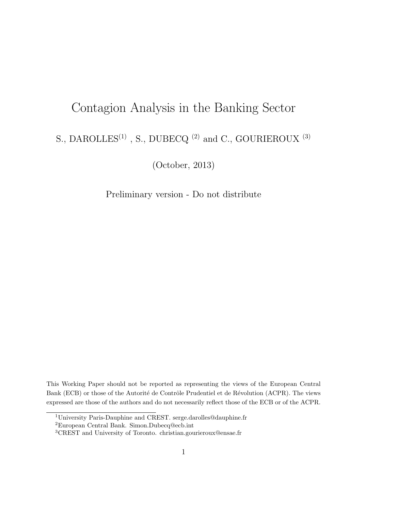# Contagion Analysis in the Banking Sector S., DAROLLES<sup>(1)</sup> , S., DUBECQ $^{(2)}$  and C., GOURIEROUX  $^{(3)}$

(October, 2013)

Preliminary version - Do not distribute

This Working Paper should not be reported as representing the views of the European Central Bank (ECB) or those of the Autorité de Contrôle Prudentiel et de Révolution (ACPR). The views expressed are those of the authors and do not necessarily reflect those of the ECB or of the ACPR.

<sup>1</sup>University Paris-Dauphine and CREST. serge.darolles@dauphine.fr

<sup>2</sup>European Central Bank. Simon.Dubecq@ecb.int

<sup>3</sup>CREST and University of Toronto. christian.gourieroux@ensae.fr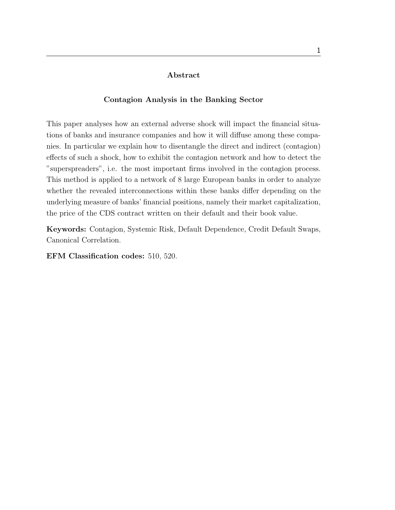#### Abstract

#### Contagion Analysis in the Banking Sector

This paper analyses how an external adverse shock will impact the financial situations of banks and insurance companies and how it will diffuse among these companies. In particular we explain how to disentangle the direct and indirect (contagion) effects of such a shock, how to exhibit the contagion network and how to detect the "superspreaders", i.e. the most important firms involved in the contagion process. This method is applied to a network of 8 large European banks in order to analyze whether the revealed interconnections within these banks differ depending on the underlying measure of banks' financial positions, namely their market capitalization, the price of the CDS contract written on their default and their book value.

Keywords: Contagion, Systemic Risk, Default Dependence, Credit Default Swaps, Canonical Correlation.

EFM Classification codes: 510, 520.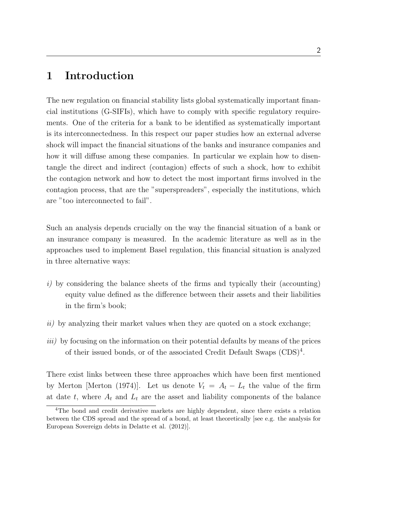# 1 Introduction

The new regulation on financial stability lists global systematically important financial institutions (G-SIFIs), which have to comply with specific regulatory requirements. One of the criteria for a bank to be identified as systematically important is its interconnectedness. In this respect our paper studies how an external adverse shock will impact the financial situations of the banks and insurance companies and how it will diffuse among these companies. In particular we explain how to disentangle the direct and indirect (contagion) effects of such a shock, how to exhibit the contagion network and how to detect the most important firms involved in the contagion process, that are the "superspreaders", especially the institutions, which are "too interconnected to fail".

Such an analysis depends crucially on the way the financial situation of a bank or an insurance company is measured. In the academic literature as well as in the approaches used to implement Basel regulation, this financial situation is analyzed in three alternative ways:

- i) by considering the balance sheets of the firms and typically their (accounting) equity value defined as the difference between their assets and their liabilities in the firm's book;
- ii) by analyzing their market values when they are quoted on a stock exchange;
- iii) by focusing on the information on their potential defaults by means of the prices of their issued bonds, or of the associated Credit Default Swaps  $(CDS)^4$ .

There exist links between these three approaches which have been first mentioned by Merton [Merton (1974)]. Let us denote  $V_t = A_t - L_t$  the value of the firm at date t, where  $A_t$  and  $L_t$  are the asset and liability components of the balance

<sup>4</sup>The bond and credit derivative markets are highly dependent, since there exists a relation between the CDS spread and the spread of a bond, at least theoretically [see e.g. the analysis for European Sovereign debts in Delatte et al. (2012)].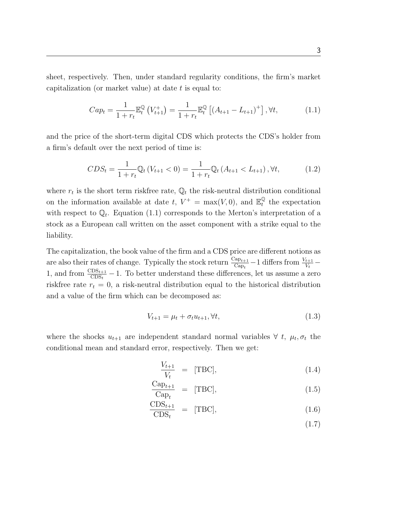sheet, respectively. Then, under standard regularity conditions, the firm's market capitalization (or market value) at date  $t$  is equal to:

$$
Cap_t = \frac{1}{1+r_t} \mathbb{E}_t^{\mathbb{Q}} \left( V_{t+1}^+ \right) = \frac{1}{1+r_t} \mathbb{E}_t^{\mathbb{Q}} \left[ \left( A_{t+1} - L_{t+1} \right)^+ \right], \forall t,
$$
\n(1.1)

and the price of the short-term digital CDS which protects the CDS's holder from a firm's default over the next period of time is:

$$
CDS_t = \frac{1}{1+r_t} \mathbb{Q}_t \left( V_{t+1} < 0 \right) = \frac{1}{1+r_t} \mathbb{Q}_t \left( A_{t+1} < L_{t+1} \right), \forall t,\tag{1.2}
$$

where  $r_t$  is the short term riskfree rate,  $\mathbb{Q}_t$  the risk-neutral distribution conditional on the information available at date t,  $V^+ = \max(V, 0)$ , and  $\mathbb{E}_t^{\mathbb{Q}}$  $_t^{\mathbb{Q}}$  the expectation with respect to  $\mathbb{Q}_t$ . Equation (1.1) corresponds to the Merton's interpretation of a stock as a European call written on the asset component with a strike equal to the liability.

The capitalization, the book value of the firm and a CDS price are different notions as are also their rates of change. Typically the stock return  $\frac{C_{ap_{t+1}}}{C_{ap_t}} - 1$  differs from  $\frac{V_{t+1}}{V_t} -$ 1, and from  $\frac{\text{CDS}_{t+1}}{\text{CDS}_t} - 1$ . To better understand these differences, let us assume a zero riskfree rate  $r_t = 0$ , a risk-neutral distribution equal to the historical distribution and a value of the firm which can be decomposed as:

$$
V_{t+1} = \mu_t + \sigma_t u_{t+1}, \forall t,
$$
\n(1.3)

where the shocks  $u_{t+1}$  are independent standard normal variables  $\forall t, \mu_t, \sigma_t$  the conditional mean and standard error, respectively. Then we get:

$$
\frac{V_{t+1}}{V_t} = [\text{TBC}], \tag{1.4}
$$

$$
\frac{\text{Cap}_{t+1}}{\text{Cap}_t} = [\text{TBC}], \tag{1.5}
$$

$$
\frac{\text{CDS}_{t+1}}{\text{CDS}_t} = [\text{TBC}], \tag{1.6}
$$

(1.7)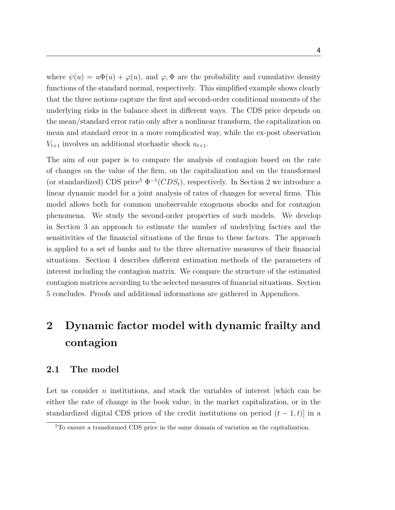where  $\psi(u) = u\Phi(u) + \varphi(u)$ , and  $\varphi, \Phi$  are the probability and cumulative density functions of the standard normal, respectively. This simplified example shows clearly that the three notions capture the first and second-order conditional moments of the underlying risks in the balance sheet in different ways. The CDS price depends on the mean/standard error ratio only after a nonlinear transform, the capitalization on mean and standard error in a more complicated way, while the ex-post observation  $V_{t+1}$  involves an additional stochastic shock  $u_{t+1}$ .

The aim of our paper is to compare the analysis of contagion based on the rate of changes on the value of the firm, on the capitalization and on the transformed (or standardized) CDS price<sup>5</sup>  $\Phi^{-1}(CDS_t)$ , respectively. In Section 2 we introduce a linear dynamic model for a joint analysis of rates of changes for several firms. This model allows both for common unobservable exogenous shocks and for contagion phenomena. We study the second-order properties of such models. We develop in Section 3 an approach to estimate the number of underlying factors and the sensitivities of the financial situations of the firms to these factors. The approach is applied to a set of banks and to the three alternative measures of their financial situations. Section 4 describes different estimation methods of the parameters of interest including the contagion matrix. We compare the structure of the estimated contagion matrices according to the selected measures of financial situations. Section 5 concludes. Proofs and additional informations are gathered in Appendices.

# 2 Dynamic factor model with dynamic frailty and contagion

### 2.1 The model

Let us consider  $n$  institutions, and stack the variables of interest which can be either the rate of change in the book value, in the market capitalization, or in the standardized digital CDS prices of the credit institutions on period  $(t - 1, t)$  in a

<sup>5</sup>To ensure a transformed CDS price in the same domain of variation as the capitalization.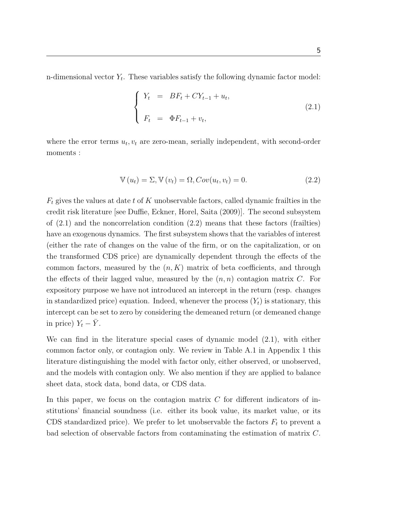n-dimensional vector  $Y_t$ . These variables satisfy the following dynamic factor model:

$$
\begin{cases}\nY_t = BF_t + CY_{t-1} + u_t, \\
F_t = \Phi F_{t-1} + v_t,\n\end{cases}
$$
\n(2.1)

where the error terms  $u_t, v_t$  are zero-mean, serially independent, with second-order moments :

$$
\mathbb{V}(u_t) = \Sigma, \mathbb{V}(v_t) = \Omega, Cov(u_t, v_t) = 0.
$$
\n(2.2)

 $F_t$  gives the values at date t of K unobservable factors, called dynamic frailties in the credit risk literature [see Duffie, Eckner, Horel, Saita (2009)]. The second subsystem of  $(2.1)$  and the noncorrelation condition  $(2.2)$  means that these factors (frailties) have an exogenous dynamics. The first subsystem shows that the variables of interest (either the rate of changes on the value of the firm, or on the capitalization, or on the transformed CDS price) are dynamically dependent through the effects of the common factors, measured by the  $(n, K)$  matrix of beta coefficients, and through the effects of their lagged value, measured by the  $(n, n)$  contagion matrix C. For expository purpose we have not introduced an intercept in the return (resp. changes in standardized price) equation. Indeed, whenever the process  $(Y_t)$  is stationary, this intercept can be set to zero by considering the demeaned return (or demeaned change in price)  $Y_t - \bar{Y}$ .

We can find in the literature special cases of dynamic model (2.1), with either common factor only, or contagion only. We review in Table A.1 in Appendix 1 this literature distinguishing the model with factor only, either observed, or unobserved, and the models with contagion only. We also mention if they are applied to balance sheet data, stock data, bond data, or CDS data.

In this paper, we focus on the contagion matrix  $C$  for different indicators of institutions' financial soundness (i.e. either its book value, its market value, or its CDS standardized price). We prefer to let unobservable the factors  $F_t$  to prevent a bad selection of observable factors from contaminating the estimation of matrix C.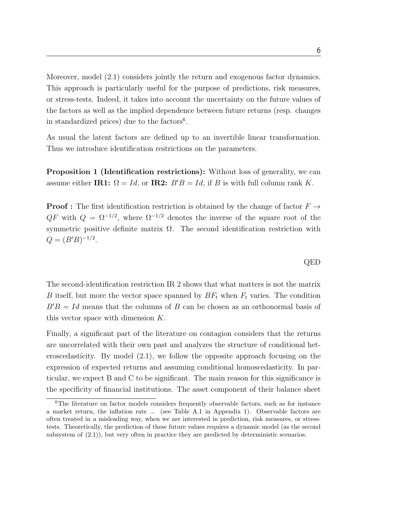Moreover, model (2.1) considers jointly the return and exogenous factor dynamics. This approach is particularly useful for the purpose of predictions, risk measures, or stress-tests. Indeed, it takes into account the uncertainty on the future values of the factors as well as the implied dependence between future returns (resp. changes in standardized prices) due to the factors<sup>6</sup>.

As usual the latent factors are defined up to an invertible linear transformation. Thus we introduce identification restrictions on the parameters.

Proposition 1 (Identification restrictions): Without loss of generality, we can assume either IR1:  $\Omega = Id$ , or IR2:  $B'B = Id$ , if B is with full column rank K.

**Proof :** The first identification restriction is obtained by the change of factor  $F \rightarrow$  $QF$  with  $Q = \Omega^{-1/2}$ , where  $\Omega^{-1/2}$  denotes the inverse of the square root of the symmetric positive definite matrix  $\Omega$ . The second identification restriction with  $Q = (B'B)^{-1/2}.$ 

The second-identification restriction IR 2 shows that what matters is not the matrix B itself, but more the vector space spanned by  $BF_t$  when  $F_t$  varies. The condition  $B'B = Id$  means that the columns of B can be chosen as an orthonormal basis of this vector space with dimension K.

Finally, a significant part of the literature on contagion considers that the returns are uncorrelated with their own past and analyzes the structure of conditional heteroscedasticity. By model (2.1), we follow the opposite approach focusing on the expression of expected returns and assuming conditional homoscedasticity. In particular, we expect B and C to be significant. The main reason for this significance is the specificity of financial institutions. The asset component of their balance sheet

QED

<sup>&</sup>lt;sup>6</sup>The literature on factor models considers frequently observable factors, such as for instance a market return, the inflation rate ... (see Table A.1 in Appendix 1). Observable factors are often treated in a misleading way, when we are interested in prediction, risk measures, or stresstests. Theoretically, the prediction of these future values requires a dynamic model (as the second subsystem of  $(2.1)$ , but very often in practice they are predicted by deterministic scenarios.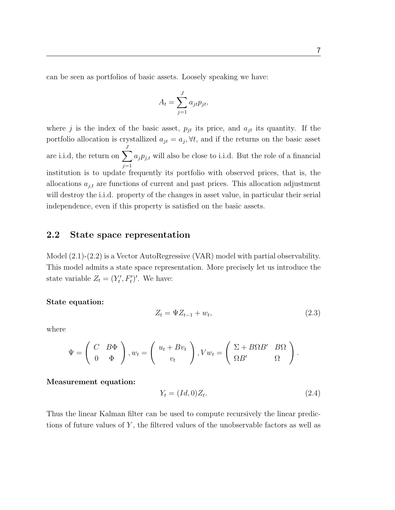can be seen as portfolios of basic assets. Loosely speaking we have:

$$
A_t = \sum_{j=1}^{J} a_{jt} p_{jt},
$$

where j is the index of the basic asset,  $p_{it}$  its price, and  $a_{it}$  its quantity. If the portfolio allocation is crystallized  $a_{jt} = a_j, \forall t$ , and if the returns on the basic asset are i.i.d, the return on  $\sum$ J  $j=1$  $a_j p_{j,t}$  will also be close to i.i.d. But the role of a financial institution is to update frequently its portfolio with observed prices, that is, the allocations  $a_{j,t}$  are functions of current and past prices. This allocation adjustment will destroy the i.i.d. property of the changes in asset value, in particular their serial independence, even if this property is satisfied on the basic assets.

#### 2.2 State space representation

Model (2.1)-(2.2) is a Vector AutoRegressive (VAR) model with partial observability. This model admits a state space representation. More precisely let us introduce the state variable  $Z_t = (Y'_t, F'_t)'$ . We have:

#### State equation:

$$
Z_t = \Psi Z_{t-1} + w_t, \tag{2.3}
$$

where

$$
\Psi = \left(\begin{array}{cc} C & B\Phi \\ 0 & \Phi \end{array}\right), w_t = \left(\begin{array}{c} u_t + Bv_t \\ v_t \end{array}\right), Vw_t = \left(\begin{array}{cc} \Sigma + B\Omega B' & B\Omega \\ \Omega B' & \Omega \end{array}\right).
$$

#### Measurement equation:

$$
Y_t = (Id, 0)Z_t. \tag{2.4}
$$

Thus the linear Kalman filter can be used to compute recursively the linear predictions of future values of  $Y$ , the filtered values of the unobservable factors as well as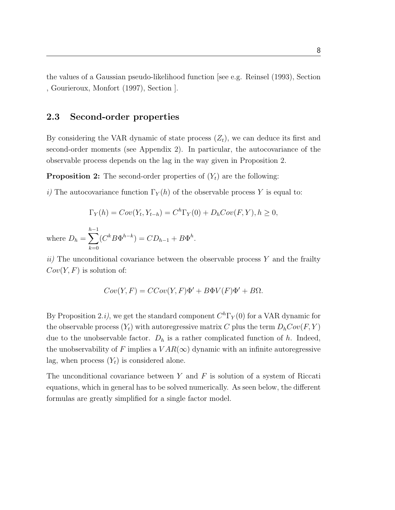the values of a Gaussian pseudo-likelihood function [see e.g. Reinsel (1993), Section , Gourieroux, Monfort (1997), Section ].

#### 2.3 Second-order properties

By considering the VAR dynamic of state process  $(Z_t)$ , we can deduce its first and second-order moments (see Appendix 2). In particular, the autocovariance of the observable process depends on the lag in the way given in Proposition 2.

**Proposition 2:** The second-order properties of  $(Y_t)$  are the following:

i) The autocovariance function  $\Gamma_Y(h)$  of the observable process Y is equal to:

$$
\Gamma_Y(h) = Cov(Y_t, Y_{t-h}) = C^h \Gamma_Y(0) + D_h Cov(F, Y), h \ge 0,
$$
  

$$
h^{-1} \Gamma(X^{h-1,h-h-h}) = C^h \Gamma_Y(0) + D_h Cov(F, Y), h \ge 0,
$$

where  $D_h = \sum$  $k=0$  $(C^k B \Phi^{h-k}) = CD_{h-1} + B \Phi^h.$ 

 $ii)$  The unconditional covariance between the observable process Y and the frailty  $Cov(Y, F)$  is solution of:

$$
Cov(Y, F) = CCov(Y, F)\Phi' + B\Phi V(F)\Phi' + B\Omega.
$$

By Proposition 2.*i*), we get the standard component  $C<sup>h</sup>\Gamma<sub>Y</sub>(0)$  for a VAR dynamic for the observable process  $(Y_t)$  with autoregressive matrix C plus the term  $D_hCov(F, Y)$ due to the unobservable factor.  $D_h$  is a rather complicated function of h. Indeed, the unobservability of F implies a  $VAR(\infty)$  dynamic with an infinite autoregressive lag, when process  $(Y_t)$  is considered alone.

The unconditional covariance between  $Y$  and  $F$  is solution of a system of Riccati equations, which in general has to be solved numerically. As seen below, the different formulas are greatly simplified for a single factor model.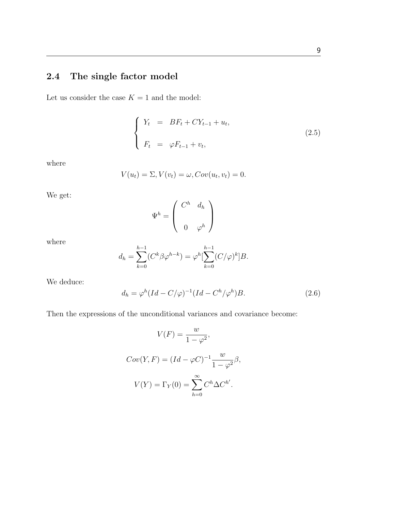# 2.4 The single factor model

Let us consider the case  $K = 1$  and the model:

$$
\begin{cases}\nY_t = BF_t + CY_{t-1} + u_t, \\
F_t = \varphi F_{t-1} + v_t,\n\end{cases}
$$
\n(2.5)

where

$$
V(u_t) = \Sigma, V(v_t) = \omega, Cov(u_t, v_t) = 0.
$$

We get:

$$
\Psi^h = \left( \begin{array}{cc} C^h & d_h \\ & 0 & \varphi^h \end{array} \right)
$$

where

$$
d_h = \sum_{k=0}^{h-1} (C^k \beta \varphi^{h-k}) = \varphi^h \left[ \sum_{k=0}^{h-1} (C/\varphi)^k \right] B.
$$

We deduce:

$$
d_h = \varphi^h (Id - C/\varphi)^{-1} (Id - C^h/\varphi^h) B. \tag{2.6}
$$

Then the expressions of the unconditional variances and covariance become:

$$
V(F) = \frac{w}{1 - \varphi^2},
$$
  
\n
$$
Cov(Y, F) = (Id - \varphi C)^{-1} \frac{w}{1 - \varphi^2} \beta,
$$
  
\n
$$
V(Y) = \Gamma_Y(0) = \sum_{h=0}^{\infty} C^h \Delta C^{h'}.
$$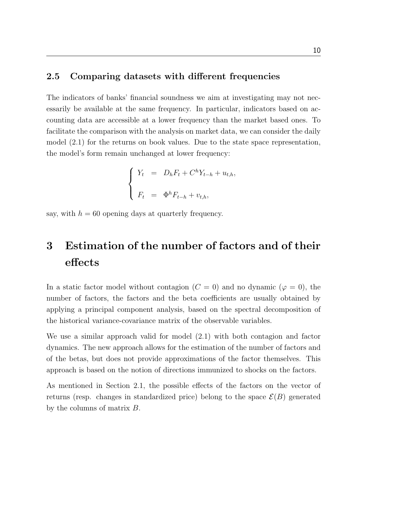#### 2.5 Comparing datasets with different frequencies

The indicators of banks' financial soundness we aim at investigating may not necessarily be available at the same frequency. In particular, indicators based on accounting data are accessible at a lower frequency than the market based ones. To facilitate the comparison with the analysis on market data, we can consider the daily model (2.1) for the returns on book values. Due to the state space representation, the model's form remain unchanged at lower frequency:

$$
\begin{cases}\nY_t = D_h F_t + C^h Y_{t-h} + u_{t,h}, \\
F_t = \Phi^h F_{t-h} + v_{t,h},\n\end{cases}
$$

say, with  $h = 60$  opening days at quarterly frequency.

# 3 Estimation of the number of factors and of their effects

In a static factor model without contagion ( $C = 0$ ) and no dynamic ( $\varphi = 0$ ), the number of factors, the factors and the beta coefficients are usually obtained by applying a principal component analysis, based on the spectral decomposition of the historical variance-covariance matrix of the observable variables.

We use a similar approach valid for model (2.1) with both contagion and factor dynamics. The new approach allows for the estimation of the number of factors and of the betas, but does not provide approximations of the factor themselves. This approach is based on the notion of directions immunized to shocks on the factors.

As mentioned in Section 2.1, the possible effects of the factors on the vector of returns (resp. changes in standardized price) belong to the space  $\mathcal{E}(B)$  generated by the columns of matrix B.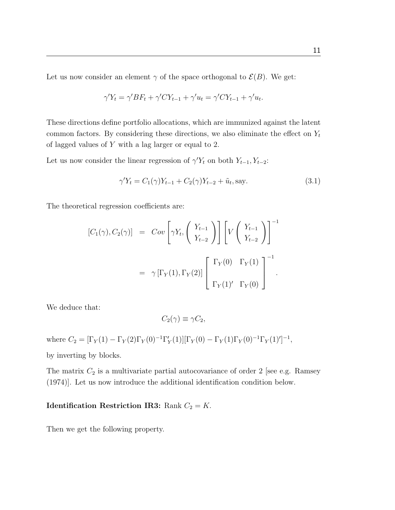Let us now consider an element  $\gamma$  of the space orthogonal to  $\mathcal{E}(B)$ . We get:

$$
\gamma' Y_t = \gamma' BF_t + \gamma' CY_{t-1} + \gamma' u_t = \gamma' CY_{t-1} + \gamma' u_t.
$$

These directions define portfolio allocations, which are immunized against the latent common factors. By considering these directions, we also eliminate the effect on  $Y_t$ of lagged values of Y with a lag larger or equal to 2.

Let us now consider the linear regression of  $\gamma' Y_t$  on both  $Y_{t-1}, Y_{t-2}$ :

$$
\gamma' Y_t = C_1(\gamma) Y_{t-1} + C_2(\gamma) Y_{t-2} + \tilde{u}_t, \text{say.}
$$
\n(3.1)

The theoretical regression coefficients are:

$$
[C_1(\gamma), C_2(\gamma)] = Cov\left[\gamma Y_t, \left(\begin{array}{c} Y_{t-1} \\ Y_{t-2} \end{array}\right)\right] \left[V\left(\begin{array}{c} Y_{t-1} \\ Y_{t-2} \end{array}\right)\right]^{-1}
$$
  

$$
= \gamma \left[\Gamma_Y(1), \Gamma_Y(2)\right] \left[\begin{array}{cc} \Gamma_Y(0) & \Gamma_Y(1) \\ \Gamma_Y(1)' & \Gamma_Y(0) \end{array}\right]^{-1}.
$$

We deduce that:

$$
C_2(\gamma) \equiv \gamma C_2,
$$

where  $C_2 = [\Gamma_Y(1) - \Gamma_Y(2)\Gamma_Y(0)^{-1}\Gamma'_Y(1)][\Gamma_Y(0) - \Gamma_Y(1)\Gamma_Y(0)^{-1}\Gamma_Y(1)']^{-1}$ ,

by inverting by blocks.

The matrix  $C_2$  is a multivariate partial autocovariance of order 2 [see e.g. Ramsey (1974)]. Let us now introduce the additional identification condition below.

### **Identification Restriction IR3:** Rank  $C_2 = K$ .

Then we get the following property.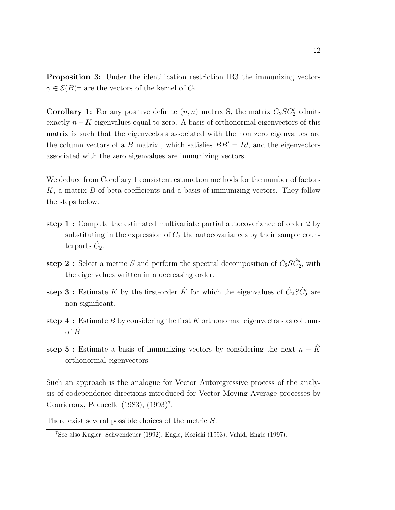Proposition 3: Under the identification restriction IR3 the immunizing vectors  $\gamma \in \mathcal{E}(B)^{\perp}$  are the vectors of the kernel of  $C_2$ .

**Corollary 1:** For any positive definite  $(n, n)$  matrix S, the matrix  $C_2SC_2'$  admits exactly  $n - K$  eigenvalues equal to zero. A basis of orthonormal eigenvectors of this matrix is such that the eigenvectors associated with the non zero eigenvalues are the column vectors of a B matrix, which satisfies  $BB' = Id$ , and the eigenvectors associated with the zero eigenvalues are immunizing vectors.

We deduce from Corollary 1 consistent estimation methods for the number of factors  $K$ , a matrix  $B$  of beta coefficients and a basis of immunizing vectors. They follow the steps below.

- step 1 : Compute the estimated multivariate partial autocovariance of order 2 by substituting in the expression of  $C_2$  the autocovariances by their sample counterparts  $\hat{C}_2$ .
- **step 2**: Select a metric S and perform the spectral decomposition of  $\hat{C}_2 S \hat{C}_2^{\prime}$ , with the eigenvalues written in a decreasing order.
- step 3: Estimate K by the first-order  $\hat{K}$  for which the eigenvalues of  $\hat{C}_2 S \hat{C}_2^{\prime}$  are non significant.
- step 4: Estimate B by considering the first  $\hat{K}$  orthonormal eigenvectors as columns of  $\hat{B}$ .
- step 5 : Estimate a basis of immunizing vectors by considering the next  $n \hat{K}$ orthonormal eigenvectors.

Such an approach is the analogue for Vector Autoregressive process of the analysis of codependence directions introduced for Vector Moving Average processes by Gourieroux, Peaucelle  $(1983)$ ,  $(1993)^7$ .

There exist several possible choices of the metric S.

<sup>7</sup>See also Kugler, Schwendeuer (1992), Engle, Kozicki (1993), Vahid, Engle (1997).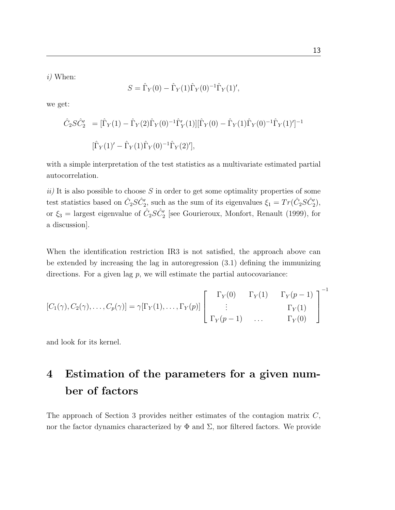i) When:

$$
S = \hat{\Gamma}_Y(0) - \hat{\Gamma}_Y(1)\hat{\Gamma}_Y(0)^{-1}\hat{\Gamma}_Y(1)',
$$

we get:

$$
\hat{C}_2 S \hat{C}'_2 = [\hat{\Gamma}_Y(1) - \hat{\Gamma}_Y(2) \hat{\Gamma}_Y(0)^{-1} \hat{\Gamma}'_Y(1)][\hat{\Gamma}_Y(0) - \hat{\Gamma}_Y(1) \hat{\Gamma}_Y(0)^{-1} \hat{\Gamma}_Y(1)']^{-1}
$$
  

$$
[\hat{\Gamma}_Y(1)' - \hat{\Gamma}_Y(1) \hat{\Gamma}_Y(0)^{-1} \hat{\Gamma}_Y(2)'],
$$

with a simple interpretation of the test statistics as a multivariate estimated partial autocorrelation.

 $ii)$  It is also possible to choose S in order to get some optimality properties of some test statistics based on  $\hat{C}_2 S \hat{C}'_2$ , such as the sum of its eigenvalues  $\xi_1 = Tr(\hat{C}_2 S \hat{C}'_2)$ , or  $\xi_3$  = largest eigenvalue of  $\hat{C}_2 S \hat{C}_2'$  [see Gourieroux, Monfort, Renault (1999), for a discussion].

When the identification restriction IR3 is not satisfied, the approach above can be extended by increasing the lag in autoregression (3.1) defining the immunizing directions. For a given lag  $p$ , we will estimate the partial autocovariance:

$$
[C_1(\gamma), C_2(\gamma), \dots, C_p(\gamma)] = \gamma[\Gamma_Y(1), \dots, \Gamma_Y(p)] \begin{bmatrix} \Gamma_Y(0) & \Gamma_Y(1) & \Gamma_Y(p-1) \\ \vdots & & \Gamma_Y(1) \\ \Gamma_Y(p-1) & \dots & \Gamma_Y(0) \end{bmatrix}^{-1}
$$

and look for its kernel.

# 4 Estimation of the parameters for a given number of factors

The approach of Section 3 provides neither estimates of the contagion matrix C, nor the factor dynamics characterized by  $\Phi$  and  $\Sigma$ , nor filtered factors. We provide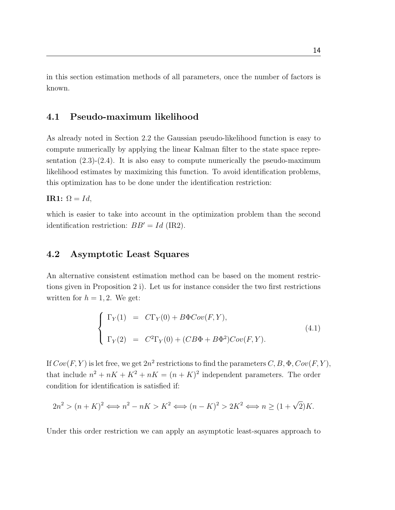in this section estimation methods of all parameters, once the number of factors is known.

# 4.1 Pseudo-maximum likelihood

As already noted in Section 2.2 the Gaussian pseudo-likelihood function is easy to compute numerically by applying the linear Kalman filter to the state space representation  $(2.3)-(2.4)$ . It is also easy to compute numerically the pseudo-maximum likelihood estimates by maximizing this function. To avoid identification problems, this optimization has to be done under the identification restriction:

IR1:  $Ω = Id$ ,

which is easier to take into account in the optimization problem than the second identification restriction:  $BB' = Id$  (IR2).

## 4.2 Asymptotic Least Squares

An alternative consistent estimation method can be based on the moment restrictions given in Proposition 2 i). Let us for instance consider the two first restrictions written for  $h = 1, 2$ . We get:

$$
\begin{cases}\n\Gamma_Y(1) = C\Gamma_Y(0) + B\Phi Cov(F, Y), \\
\Gamma_Y(2) = C^2\Gamma_Y(0) + (CB\Phi + B\Phi^2)Cov(F, Y).\n\end{cases}
$$
\n(4.1)

If  $Cov(F, Y)$  is let free, we get  $2n^2$  restrictions to find the parameters  $C, B, \Phi, Cov(F, Y),$ that include  $n^2 + nK + K^2 + nK = (n + K)^2$  independent parameters. The order condition for identification is satisfied if:

$$
2n2 > (n+K)2 \Longleftrightarrow n2 - nK > K2 \Longleftrightarrow (n-K)2 > 2K2 \Longleftrightarrow n \ge (1+\sqrt{2})K.
$$

Under this order restriction we can apply an asymptotic least-squares approach to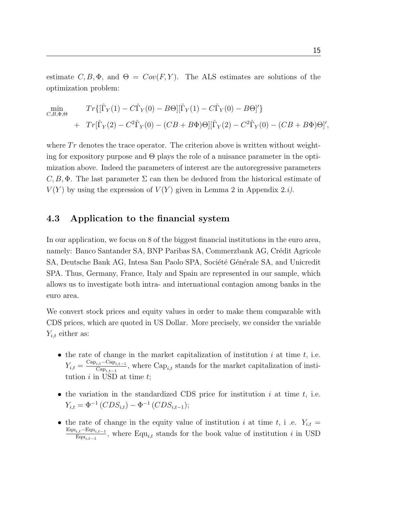estimate  $C, B, \Phi$ , and  $\Theta = Cov(F, Y)$ . The ALS estimates are solutions of the optimization problem:

$$
\begin{aligned}\n\min_{C,B,\Phi,\Theta} & Tr\{[\hat{\Gamma}_Y(1) - C\hat{\Gamma}_Y(0) - B\Theta][\hat{\Gamma}_Y(1) - C\hat{\Gamma}_Y(0) - B\Theta]'\} \\
&+ Tr[\hat{\Gamma}_Y(2) - C^2\hat{\Gamma}_Y(0) - (CB + B\Phi)\Theta][\hat{\Gamma}_Y(2) - C^2\hat{\Gamma}_Y(0) - (CB + B\Phi)\Theta]'\n\end{aligned}
$$

where  $Tr$  denotes the trace operator. The criterion above is written without weighting for expository purpose and Θ plays the role of a nuisance parameter in the optimization above. Indeed the parameters of interest are the autoregressive parameters  $C, B, \Phi$ . The last parameter  $\Sigma$  can then be deduced from the historical estimate of  $V(Y)$  by using the expression of  $V(Y)$  given in Lemma 2 in Appendix 2.*i*).

#### 4.3 Application to the financial system

In our application, we focus on 8 of the biggest financial institutions in the euro area, namely: Banco Santander SA, BNP Paribas SA, Commerzbank AG, Crédit Agricole SA, Deutsche Bank AG, Intesa San Paolo SPA, Société Générale SA, and Unicredit SPA. Thus, Germany, France, Italy and Spain are represented in our sample, which allows us to investigate both intra- and international contagion among banks in the euro area.

We convert stock prices and equity values in order to make them comparable with CDS prices, which are quoted in US Dollar. More precisely, we consider the variable  $Y_{i,t}$  either as:

- the rate of change in the market capitalization of institution i at time t, i.e.  $Y_{i,t} = \frac{\text{Cap}_{i,t} - \text{Cap}_{i,t-1}}{\text{Cap}_{i,t-1}}$  $\frac{C_{i,t}-C_{i}\log_{i,t-1}}{C_{i}\log_{i,t-1}}$ , where  $Cap_{i,t}$  stands for the market capitalization of institution  $i$  in USD at time  $t$ ;
- the variation in the standardized CDS price for institution  $i$  at time  $t$ , i.e.  $Y_{i,t} = \Phi^{-1}(CDS_{i,t}) - \Phi^{-1}(CDS_{i,t-1});$
- the rate of change in the equity value of institution i at time t, i .e.  $Y_{i,t} =$  $\text{Equ}_{i,t}-\text{Equ}_{i,t-1}$  $\frac{L_i t^{-\text{Eq} u_{i,t-1}}}{\text{Eq} u_{i,t-1}}$ , where Equ<sub>i,t</sub> stands for the book value of institution *i* in USD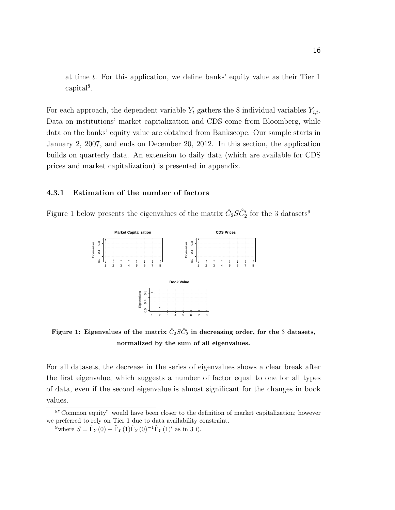at time  $t$ . For this application, we define banks' equity value as their Tier 1 capital<sup>8</sup>.

For each approach, the dependent variable  $Y_t$  gathers the 8 individual variables  $Y_{i,t}$ . Data on institutions' market capitalization and CDS come from Bloomberg, while data on the banks' equity value are obtained from Bankscope. Our sample starts in January 2, 2007, and ends on December 20, 2012. In this section, the application builds on quarterly data. An extension to daily data (which are available for CDS prices and market capitalization) is presented in appendix.

#### 4.3.1 Estimation of the number of factors

Figure 1 below presents the eigenvalues of the matrix  $\hat{C}_2 S \hat{C}^\prime_2$  for the 3 datasets<sup>9</sup>



Figure 1: Eigenvalues of the matrix  $\hat{C}_2 S \hat{C}^\prime_2$  in decreasing order, for the 3 datasets, normalized by the sum of all eigenvalues.

For all datasets, the decrease in the series of eigenvalues shows a clear break after the first eigenvalue, which suggests a number of factor equal to one for all types of data, even if the second eigenvalue is almost significant for the changes in book values.

<sup>8</sup>"Common equity" would have been closer to the definition of market capitalization; however we preferred to rely on Tier 1 due to data availability constraint.

<sup>&</sup>lt;sup>9</sup>where  $S = \hat{\Gamma}_Y(0) - \hat{\Gamma}_Y(1)\hat{\Gamma}_Y(0)^{-1}\hat{\Gamma}_Y(1)'$  as in 3 i).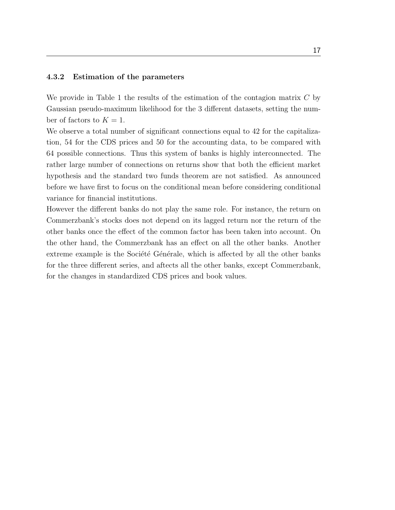#### 4.3.2 Estimation of the parameters

We provide in Table 1 the results of the estimation of the contagion matrix  $C$  by Gaussian pseudo-maximum likelihood for the 3 different datasets, setting the number of factors to  $K = 1$ .

We observe a total number of significant connections equal to 42 for the capitalization, 54 for the CDS prices and 50 for the accounting data, to be compared with 64 possible connections. Thus this system of banks is highly interconnected. The rather large number of connections on returns show that both the efficient market hypothesis and the standard two funds theorem are not satisfied. As announced before we have first to focus on the conditional mean before considering conditional variance for financial institutions.

However the different banks do not play the same role. For instance, the return on Commerzbank's stocks does not depend on its lagged return nor the return of the other banks once the effect of the common factor has been taken into account. On the other hand, the Commerzbank has an effect on all the other banks. Another extreme example is the Société Générale, which is affected by all the other banks for the three different series, and aftects all the other banks, except Commerzbank, for the changes in standardized CDS prices and book values.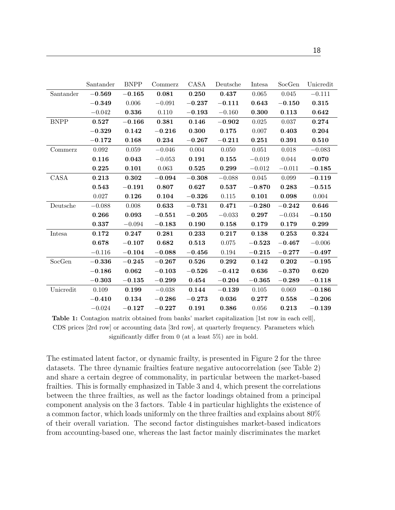|             | Santander | <b>BNPP</b> | Commerz  | CASA     | Deutsche    | Intesa   | SocGen   | Unicredit |
|-------------|-----------|-------------|----------|----------|-------------|----------|----------|-----------|
| Santander   | $-0.569$  | $-0.165$    | 0.081    | 0.250    | 0.437       | 0.065    | 0.045    | $-0.111$  |
|             | $-0.349$  | 0.006       | $-0.091$ | $-0.237$ | $-0.111$    | 0.643    | $-0.150$ | 0.315     |
|             | $-0.042$  | 0.336       | 0.110    | $-0.193$ | $-0.160$    | 0.300    | 0.113    | 0.642     |
| <b>BNPP</b> | 0.527     | $-0.166$    | 0.381    | 0.146    | $-0.902$    | 0.025    | 0.037    | 0.274     |
|             | $-0.329$  | 0.142       | $-0.216$ | 0.300    | 0.175       | 0.007    | 0.403    | 0.204     |
|             | $-0.172$  | 0.168       | 0.234    | $-0.267$ | $-0.211$    | 0.251    | 0.391    | 0.510     |
| Commerz     | 0.092     | 0.059       | $-0.046$ | 0.004    | 0.050       | 0.051    | 0.018    | $-0.083$  |
|             | 0.116     | 0.043       | $-0.053$ | 0.191    | 0.155       | $-0.019$ | 0.044    | 0.070     |
|             | 0.225     | 0.101       | 0.063    | 0.525    | 0.299       | $-0.012$ | $-0.011$ | $-0.185$  |
| CASA        | 0.213     | 0.302       | $-0.094$ | $-0.308$ | $-0.088$    | 0.045    | 0.099    | $-0.119$  |
|             | 0.543     | $-0.191$    | 0.807    | 0.627    | 0.537       | $-0.870$ | 0.283    | $-0.515$  |
|             | 0.027     | 0.126       | 0.104    | $-0.326$ | 0.115       | 0.101    | 0.098    | 0.004     |
| Deutsche    | $-0.088$  | 0.008       | 0.633    | $-0.731$ | 0.471       | $-0.280$ | $-0.242$ | 0.646     |
|             | 0.266     | 0.093       | $-0.551$ | $-0.205$ | $-0.033$    | 0.297    | $-0.034$ | $-0.150$  |
|             | 0.337     | $-0.094$    | $-0.183$ | 0.190    | 0.158       | 0.179    | 0.179    | 0.299     |
| Intesa      | 0.172     | 0.247       | 0.281    | 0.233    | 0.217       | 0.138    | 0.253    | 0.324     |
|             | 0.678     | $-0.107$    | 0.682    | 0.513    | 0.075       | $-0.523$ | $-0.467$ | $-0.006$  |
|             | $-0.116$  | $-0.104$    | $-0.088$ | $-0.456$ | $\,0.194\,$ | $-0.215$ | $-0.277$ | $-0.497$  |
| SocGen      | $-0.336$  | $-0.245$    | $-0.267$ | 0.526    | 0.292       | 0.142    | 0.202    | $-0.195$  |
|             | $-0.186$  | 0.062       | $-0.103$ | $-0.526$ | $-0.412$    | 0.636    | $-0.370$ | 0.620     |
|             | $-0.303$  | $-0.135$    | $-0.299$ | 0.454    | $-0.204$    | $-0.365$ | $-0.289$ | $-0.118$  |
| Unicredit   | 0.109     | 0.199       | $-0.038$ | 0.144    | $-0.139$    | 0.105    | 0.069    | $-0.186$  |
|             | $-0.410$  | 0.134       | $-0.286$ | $-0.273$ | 0.036       | 0.277    | 0.558    | $-0.206$  |
|             | $-0.024$  | $-0.127$    | $-0.227$ | 0.191    | 0.386       | 0.056    | 0.213    | $-0.139$  |

Table 1: Contagion matrix obtained from banks' market capitalization [1st row in each cell], CDS prices [2rd row] or accounting data [3rd row], at quarterly frequency. Parameters which significantly differ from 0 (at a least 5%) are in bold.

The estimated latent factor, or dynamic frailty, is presented in Figure 2 for the three datasets. The three dynamic frailties feature negative autocorrelation (see Table 2) and share a certain degree of commonality, in particular between the market-based frailties. This is formally emphasized in Table 3 and 4, which present the correlations between the three frailties, as well as the factor loadings obtained from a principal component analysis on the 3 factors. Table 4 in particular highlights the existence of a common factor, which loads uniformly on the three frailties and explains about 80% of their overall variation. The second factor distinguishes market-based indicators from accounting-based one, whereas the last factor mainly discriminates the market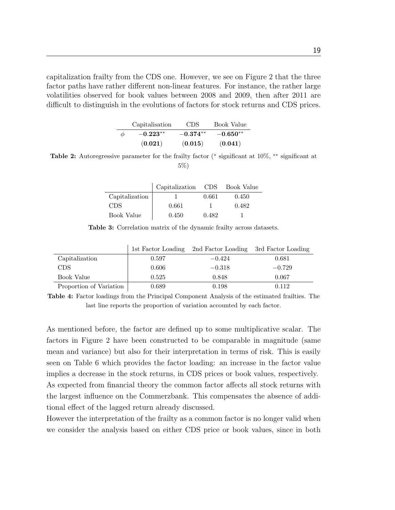capitalization frailty from the CDS one. However, we see on Figure 2 that the three factor paths have rather different non-linear features. For instance, the rather large volatilities observed for book values between 2008 and 2009, then after 2011 are difficult to distinguish in the evolutions of factors for stock returns and CDS prices.

|        | Capitalisation | <b>CDS</b> | Book Value |
|--------|----------------|------------|------------|
| $\phi$ | $-0.223**$     | $-0.374**$ | $-0.650**$ |
|        | (0.021)        | (0.015)    | (0.041)    |

Table 2: Autoregressive parameter for the frailty factor (\* significant at 10%, \*\* significant at 5%)

|                | Capitalization CDS Book Value |       |       |
|----------------|-------------------------------|-------|-------|
| Capitalization |                               | 0.661 | 0.450 |
| CDS.           | 0.661                         |       | 0.482 |
| Book Value     | 0.450                         | 0.482 |       |

Table 3: Correlation matrix of the dynamic frailty across datasets.

|                         |       | 1st Factor Loading 2nd Factor Loading 3rd Factor Loading |          |
|-------------------------|-------|----------------------------------------------------------|----------|
| Capitalization          | 0.597 | $-0.424$                                                 | 0.681    |
| CDS.                    | 0.606 | $-0.318$                                                 | $-0.729$ |
| Book Value              | 0.525 | 0.848                                                    | 0.067    |
| Proportion of Variation | 0.689 | 0.198                                                    | 0.112    |

Table 4: Factor loadings from the Principal Component Analysis of the estimated frailties. The last line reports the proportion of variation accounted by each factor.

As mentioned before, the factor are defined up to some multiplicative scalar. The factors in Figure 2 have been constructed to be comparable in magnitude (same mean and variance) but also for their interpretation in terms of risk. This is easily seen on Table 6 which provides the factor loading: an increase in the factor value implies a decrease in the stock returns, in CDS prices or book values, respectively. As expected from financial theory the common factor affects all stock returns with the largest influence on the Commerzbank. This compensates the absence of additional effect of the lagged return already discussed.

However the interpretation of the frailty as a common factor is no longer valid when we consider the analysis based on either CDS price or book values, since in both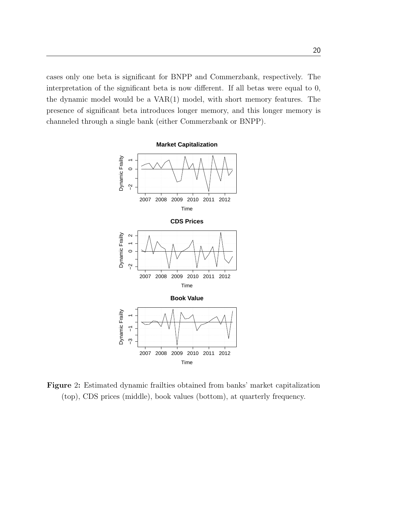cases only one beta is significant for BNPP and Commerzbank, respectively. The interpretation of the significant beta is now different. If all betas were equal to 0, the dynamic model would be a VAR(1) model, with short memory features. The presence of significant beta introduces longer memory, and this longer memory is channeled through a single bank (either Commerzbank or BNPP).



Figure 2: Estimated dynamic frailties obtained from banks' market capitalization (top), CDS prices (middle), book values (bottom), at quarterly frequency.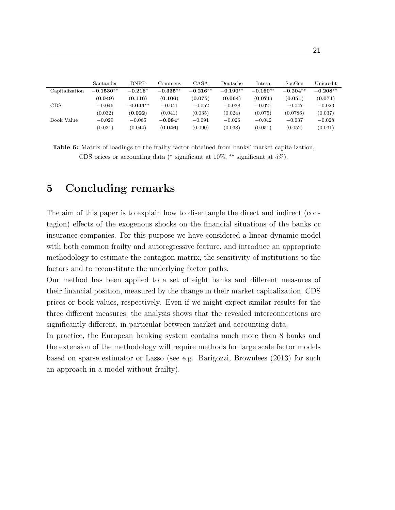|                | Santander   | <b>BNPP</b> | Commerz    | CASA       | Deutsche   | Intesa     | SocGen     | Unicredit  |
|----------------|-------------|-------------|------------|------------|------------|------------|------------|------------|
| Capitalization | $-0.1530**$ | $-0.216*$   | $-0.335**$ | $-0.216**$ | $-0.190**$ | $-0.160**$ | $-0.204**$ | $-0.208**$ |
|                | (0.049)     | (0.116)     | (0.106)    | (0.075)    | (0.064)    | (0.071)    | (0.051)    | (0.071)    |
| <b>CDS</b>     | $-0.046$    | $-0.043**$  | $-0.041$   | $-0.052$   | $-0.038$   | $-0.027$   | $-0.047$   | $-0.023$   |
|                | (0.032)     | (0.022)     | (0.041)    | (0.035)    | (0.024)    | (0.075)    | (0.0786)   | (0.037)    |
| Book Value     | $-0.029$    | $-0.065$    | $-0.084*$  | $-0.091$   | $-0.026$   | $-0.042$   | $-0.037$   | $-0.028$   |
|                | (0.031)     | (0.044)     | (0.046)    | (0.090)    | (0.038)    | (0.051)    | (0.052)    | (0.031)    |

Table 6: Matrix of loadings to the frailty factor obtained from banks' market capitalization, CDS prices or accounting data ( $*$  significant at 10%,  $**$  significant at 5%).

# 5 Concluding remarks

The aim of this paper is to explain how to disentangle the direct and indirect (contagion) effects of the exogenous shocks on the financial situations of the banks or insurance companies. For this purpose we have considered a linear dynamic model with both common frailty and autoregressive feature, and introduce an appropriate methodology to estimate the contagion matrix, the sensitivity of institutions to the factors and to reconstitute the underlying factor paths.

Our method has been applied to a set of eight banks and different measures of their financial position, measured by the change in their market capitalization, CDS prices or book values, respectively. Even if we might expect similar results for the three different measures, the analysis shows that the revealed interconnections are significantly different, in particular between market and accounting data.

In practice, the European banking system contains much more than 8 banks and the extension of the methodology will require methods for large scale factor models based on sparse estimator or Lasso (see e.g. Barigozzi, Brownlees (2013) for such an approach in a model without frailty).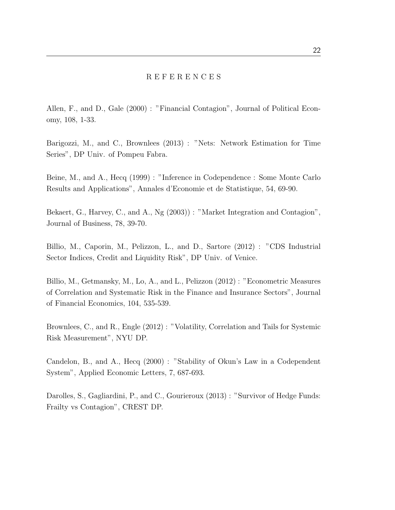#### R E F E R E N C E S

Allen, F., and D., Gale (2000) : "Financial Contagion", Journal of Political Economy, 108, 1-33.

Barigozzi, M., and C., Brownlees (2013) : "Nets: Network Estimation for Time Series", DP Univ. of Pompeu Fabra.

Beine, M., and A., Hecq (1999) : "Inference in Codependence : Some Monte Carlo Results and Applications", Annales d'Economie et de Statistique, 54, 69-90.

Bekaert, G., Harvey, C., and A., Ng (2003)) : "Market Integration and Contagion", Journal of Business, 78, 39-70.

Billio, M., Caporin, M., Pelizzon, L., and D., Sartore (2012) : "CDS Industrial Sector Indices, Credit and Liquidity Risk", DP Univ. of Venice.

Billio, M., Getmansky, M., Lo, A., and L., Pelizzon (2012) : "Econometric Measures of Correlation and Systematic Risk in the Finance and Insurance Sectors", Journal of Financial Economics, 104, 535-539.

Brownlees, C., and R., Engle (2012) : "Volatility, Correlation and Tails for Systemic Risk Measurement", NYU DP.

Candelon, B., and A., Hecq (2000) : "Stability of Okun's Law in a Codependent System", Applied Economic Letters, 7, 687-693.

Darolles, S., Gagliardini, P., and C., Gourieroux (2013) : "Survivor of Hedge Funds: Frailty vs Contagion", CREST DP.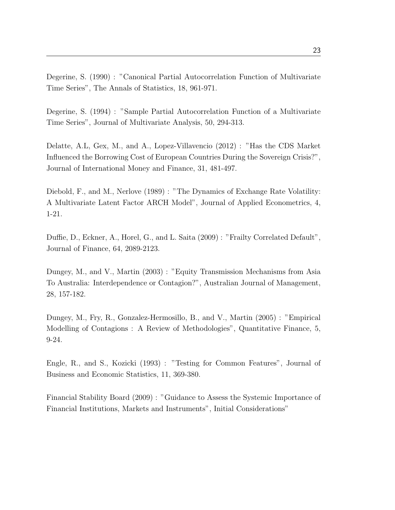Degerine, S. (1990) : "Canonical Partial Autocorrelation Function of Multivariate Time Series", The Annals of Statistics, 18, 961-971.

Degerine, S. (1994) : "Sample Partial Autocorrelation Function of a Multivariate Time Series", Journal of Multivariate Analysis, 50, 294-313.

Delatte, A.L, Gex, M., and A., Lopez-Villavencio (2012) : "Has the CDS Market Influenced the Borrowing Cost of European Countries During the Sovereign Crisis?", Journal of International Money and Finance, 31, 481-497.

Diebold, F., and M., Nerlove (1989) : "The Dynamics of Exchange Rate Volatility: A Multivariate Latent Factor ARCH Model", Journal of Applied Econometrics, 4, 1-21.

Duffie, D., Eckner, A., Horel, G., and L. Saita (2009) : "Frailty Correlated Default", Journal of Finance, 64, 2089-2123.

Dungey, M., and V., Martin (2003) : "Equity Transmission Mechanisms from Asia To Australia: Interdependence or Contagion?", Australian Journal of Management, 28, 157-182.

Dungey, M., Fry, R., Gonzalez-Hermosillo, B., and V., Martin (2005) : "Empirical Modelling of Contagions : A Review of Methodologies", Quantitative Finance, 5, 9-24.

Engle, R., and S., Kozicki (1993) : "Testing for Common Features", Journal of Business and Economic Statistics, 11, 369-380.

Financial Stability Board (2009) : "Guidance to Assess the Systemic Importance of Financial Institutions, Markets and Instruments", Initial Considerations"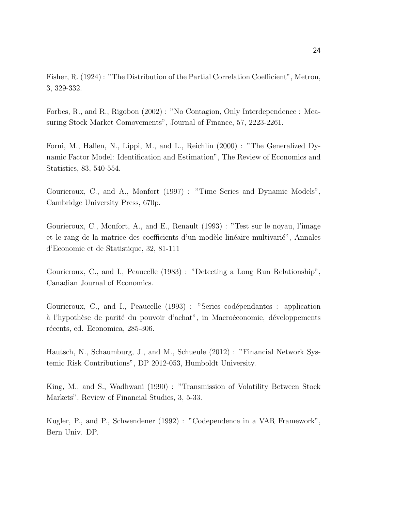Fisher, R. (1924) : "The Distribution of the Partial Correlation Coefficient", Metron, 3, 329-332.

Forbes, R., and R., Rigobon (2002) : "No Contagion, Only Interdependence : Measuring Stock Market Comovements", Journal of Finance, 57, 2223-2261.

Forni, M., Hallen, N., Lippi, M., and L., Reichlin (2000) : "The Generalized Dynamic Factor Model: Identification and Estimation", The Review of Economics and Statistics, 83, 540-554.

Gourieroux, C., and A., Monfort (1997) : "Time Series and Dynamic Models", Cambridge University Press, 670p.

Gourieroux, C., Monfort, A., and E., Renault (1993) : "Test sur le noyau, l'image et le rang de la matrice des coefficients d'un modèle linéaire multivarié", Annales d'Economie et de Statistique, 32, 81-111

Gourieroux, C., and I., Peaucelle (1983) : "Detecting a Long Run Relationship", Canadian Journal of Economics.

Gourieroux, C., and I., Peaucelle (1993) : "Series codépendantes : application à l'hypothèse de parité du pouvoir d'achat", in Macroéconomie, développements récents, ed. Economica, 285-306.

Hautsch, N., Schaumburg, J., and M., Schueule (2012) : "Financial Network Systemic Risk Contributions", DP 2012-053, Humboldt University.

King, M., and S., Wadhwani (1990) : "Transmission of Volatility Between Stock Markets", Review of Financial Studies, 3, 5-33.

Kugler, P., and P., Schwendener (1992) : "Codependence in a VAR Framework", Bern Univ. DP.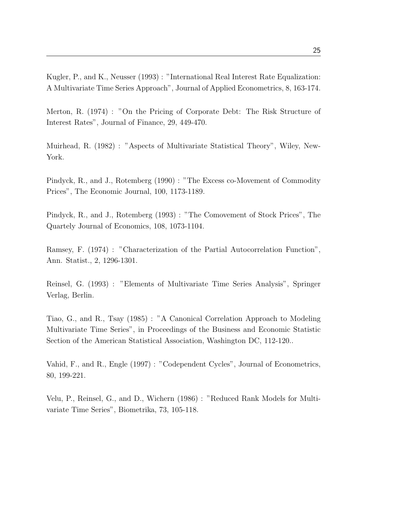Kugler, P., and K., Neusser (1993) : "International Real Interest Rate Equalization: A Multivariate Time Series Approach", Journal of Applied Econometrics, 8, 163-174.

Merton, R. (1974) : "On the Pricing of Corporate Debt: The Risk Structure of Interest Rates", Journal of Finance, 29, 449-470.

Muirhead, R. (1982) : "Aspects of Multivariate Statistical Theory", Wiley, New-York.

Pindyck, R., and J., Rotemberg (1990) : "The Excess co-Movement of Commodity Prices", The Economic Journal, 100, 1173-1189.

Pindyck, R., and J., Rotemberg (1993) : "The Comovement of Stock Prices", The Quartely Journal of Economics, 108, 1073-1104.

Ramsey, F. (1974) : "Characterization of the Partial Autocorrelation Function", Ann. Statist., 2, 1296-1301.

Reinsel, G. (1993) : "Elements of Multivariate Time Series Analysis", Springer Verlag, Berlin.

Tiao, G., and R., Tsay (1985) : "A Canonical Correlation Approach to Modeling Multivariate Time Series", in Proceedings of the Business and Economic Statistic Section of the American Statistical Association, Washington DC, 112-120..

Vahid, F., and R., Engle (1997) : "Codependent Cycles", Journal of Econometrics, 80, 199-221.

Velu, P., Reinsel, G., and D., Wichern (1986) : "Reduced Rank Models for Multivariate Time Series", Biometrika, 73, 105-118.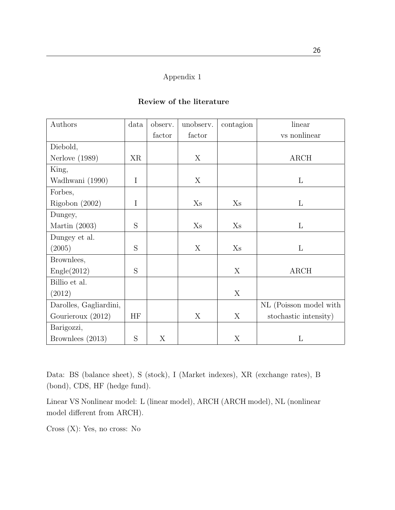# Appendix 1

| Authors                | data        | observ. | unobserv. | contagion      | linear                 |
|------------------------|-------------|---------|-----------|----------------|------------------------|
|                        |             | factor  | factor    |                | vs nonlinear           |
| Diebold,               |             |         |           |                |                        |
| Nerlove $(1989)$       | XR          |         | X         |                | $\rm{ARCH}$            |
| King,                  |             |         |           |                |                        |
| Wadhwani (1990)        | $\rm I$     |         | X         |                | $\mathbf{L}$           |
| Forbes,                |             |         |           |                |                        |
| Rigobon $(2002)$       | $\mathbf I$ |         | Xs        | Xs             | $\Gamma$               |
| Dungey,                |             |         |           |                |                        |
| Martin $(2003)$        | S           |         | $X_{S}$   | X <sub>S</sub> | $\mathbf{L}$           |
| Dungey et al.          |             |         |           |                |                        |
| (2005)                 | S           |         | X         | X <sub>S</sub> | L                      |
| Brownlees,             |             |         |           |                |                        |
| Engle(2012)            | S           |         |           | X              | ARCH                   |
| Billio et al.          |             |         |           |                |                        |
| (2012)                 |             |         |           | X              |                        |
| Darolles, Gagliardini, |             |         |           |                | NL (Poisson model with |
| Gourieroux (2012)      | HF          |         | X         | X              | stochastic intensity)  |
| Barigozzi,             |             |         |           |                |                        |
| Brownlees (2013)       | S           | X       |           | X              | L                      |

### Review of the literature

Data: BS (balance sheet), S (stock), I (Market indexes), XR (exchange rates), B (bond), CDS, HF (hedge fund).

Linear VS Nonlinear model: L (linear model), ARCH (ARCH model), NL (nonlinear model different from ARCH).

Cross (X): Yes, no cross: No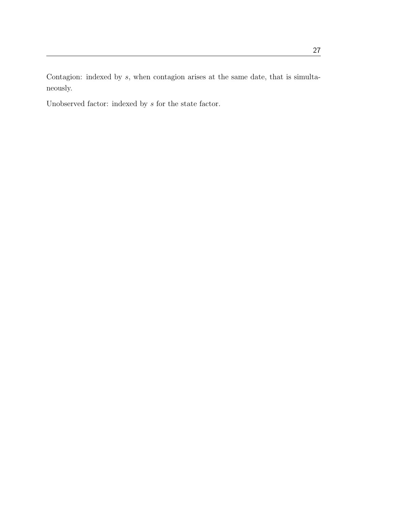Contagion: indexed by s, when contagion arises at the same date, that is simultaneously.

Unobserved factor: indexed by  $s$  for the state factor.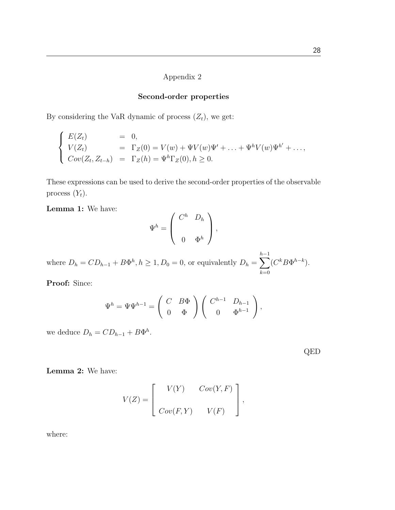#### Appendix 2

#### Second-order properties

By considering the VaR dynamic of process  $(Z_t)$ , we get:

$$
\begin{cases}\nE(Z_t) = 0, \\
V(Z_t) = \Gamma_Z(0) = V(w) + \Psi V(w) \Psi' + \dots + \Psi^h V(w) \Psi^{h'} + \dots, \\
Cov(Z_t, Z_{t-h}) = \Gamma_Z(h) = \Psi^h \Gamma_Z(0), h \ge 0.\n\end{cases}
$$

These expressions can be used to derive the second-order properties of the observable process  $(Y_t)$ .

Lemma 1: We have:

$$
\Psi^h = \left( \begin{array}{cc} C^h & D_h \\ & \\ 0 & \Phi^h \end{array} \right),
$$

where  $D_h = CD_{h-1} + B\Phi^h, h \ge 1, D_0 = 0$ , or equivalently  $D_h = \sum$  $h-1$  $_{k=0}$  $(C^k B \Phi^{h-k}).$ 

Proof: Since:

$$
\Psi^h = \Psi \Psi^{h-1} = \begin{pmatrix} C & B\Phi \\ 0 & \Phi \end{pmatrix} \begin{pmatrix} C^{h-1} & D_{h-1} \\ 0 & \Phi^{h-1} \end{pmatrix},
$$

we deduce  $D_h = CD_{h-1} + B\Phi^h$ .

|--|--|

Lemma 2: We have:

$$
V(Z) = \left[ \begin{array}{cc} V(Y) & Cov(Y, F) \\ Cov(F, Y) & V(F) \end{array} \right],
$$

where: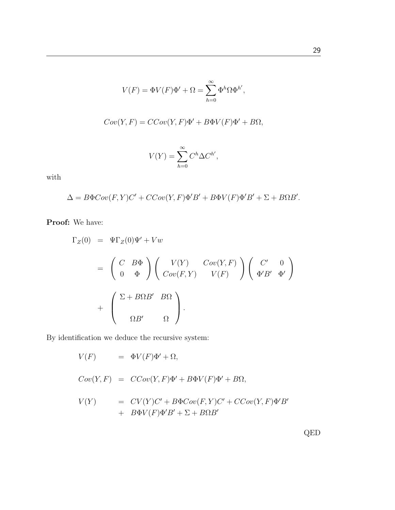$$
V(F) = \Phi V(F)\Phi' + \Omega = \sum_{h=0}^{\infty} \Phi^h \Omega \Phi^{h'},
$$
  
\n
$$
Cov(Y, F) = CCov(Y, F)\Phi' + B\Phi V(F)\Phi' + B\Omega,
$$
  
\n
$$
V(Y) = \sum_{h=0}^{\infty} C^h \Delta C^{h'},
$$

with

 $\Delta = B\Phi Cov(F, Y)C' + CCov(Y, F)\Phi'B' + B\Phi V(F)\Phi'B' + \Sigma + B\Omega B'.$ 

Proof: We have:

$$
\Gamma_Z(0) = \Psi \Gamma_Z(0) \Psi' + Vw
$$
  
=  $\begin{pmatrix} C & B\Phi \\ 0 & \Phi \end{pmatrix} \begin{pmatrix} V(Y) & Cov(Y, F) \\ Cov(F, Y) & V(F) \end{pmatrix} \begin{pmatrix} C' & 0 \\ \Phi'B' & \Phi' \end{pmatrix}$   
+  $\begin{pmatrix} \Sigma + B\Omega B' & B\Omega \\ \Omega B' & \Omega \end{pmatrix}$ .

By identification we deduce the recursive system:

$$
V(F) = \Phi V(F)\Phi' + \Omega,
$$
  
\n
$$
Cov(Y, F) = CCov(Y, F)\Phi' + B\Phi V(F)\Phi' + B\Omega,
$$
  
\n
$$
V(Y) = CV(Y)C' + B\Phi Cov(F, Y)C' + CCov(Y, F)\Phi'B'
$$
  
\n
$$
+ B\Phi V(F)\Phi'B' + \Sigma + B\Omega B'
$$

29

QED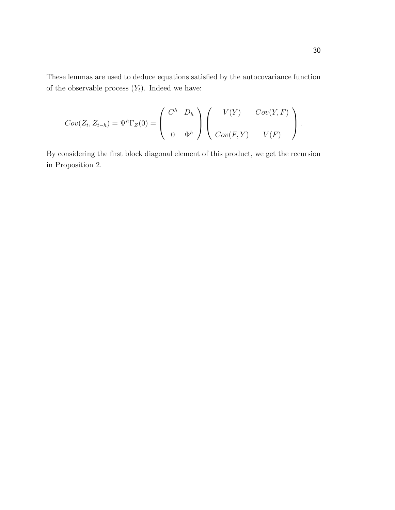These lemmas are used to deduce equations satisfied by the autocovariance function of the observable process  $(Y_t)$ . Indeed we have:

$$
Cov(Z_t, Z_{t-h}) = \Psi^h \Gamma_Z(0) = \begin{pmatrix} C^h & D_h \\ & \\ 0 & \Phi^h \end{pmatrix} \begin{pmatrix} V(Y) & Cov(Y, F) \\ Cov(F, Y) & V(F) \end{pmatrix}.
$$

By considering the first block diagonal element of this product, we get the recursion in Proposition 2.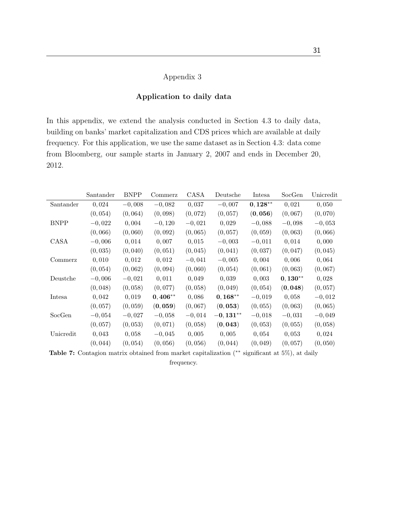### Appendix 3

### Application to daily data

In this appendix, we extend the analysis conducted in Section 4.3 to daily data, building on banks' market capitalization and CDS prices which are available at daily frequency. For this application, we use the same dataset as in Section 4.3: data come from Bloomberg, our sample starts in January 2, 2007 and ends in December 20, 2012.

|             | Santander | <b>BNPP</b> | Commerz   | CASA     | Deutsche   | Intesa    | SocGen    | Unicredit |
|-------------|-----------|-------------|-----------|----------|------------|-----------|-----------|-----------|
| Santander   | 0,024     | $-0,008$    | $-0,082$  | 0,037    | $-0,007$   | $0,128**$ | 0,021     | 0,050     |
|             | (0, 054)  | (0,064)     | (0,098)   | (0,072)  | (0, 057)   | (0,056)   | (0,067)   | (0,070)   |
| <b>BNPP</b> | $-0,022$  | 0,004       | $-0,120$  | $-0,021$ | 0,029      | $-0,088$  | $-0,098$  | $-0,053$  |
|             | (0,066)   | (0,060)     | (0,092)   | (0,065)  | (0, 057)   | (0, 059)  | (0,063)   | (0,066)   |
| CASA        | $-0,006$  | 0,014       | 0,007     | 0,015    | $-0,003$   | $-0,011$  | 0,014     | 0,000     |
|             | (0, 035)  | (0,040)     | (0, 051)  | (0,045)  | (0,041)    | (0,037)   | (0,047)   | (0,045)   |
| Commerz     | 0,010     | 0,012       | 0,012     | $-0,041$ | $-0,005$   | 0,004     | 0,006     | 0,064     |
|             | (0,054)   | (0,062)     | (0,094)   | (0,060)  | (0, 054)   | (0,061)   | (0,063)   | (0,067)   |
| Deustche    | $-0,006$  | $-0,021$    | 0,011     | 0,049    | 0,039      | 0,003     | $0,130**$ | 0,028     |
|             | (0,048)   | (0,058)     | (0,077)   | (0, 058) | (0,049)    | (0, 054)  | (0,048)   | (0, 057)  |
| Intesa      | 0,042     | 0,019       | $0,406**$ | 0,086    | $0,168**$  | $-0,019$  | 0,058     | $-0.012$  |
|             | (0, 057)  | (0, 059)    | (0, 059)  | (0,067)  | (0, 053)   | (0, 055)  | (0,063)   | (0,065)   |
| SocGen      | $-0.054$  | $-0,027$    | $-0,058$  | $-0,014$ | $-0,131**$ | $-0,018$  | $-0,031$  | $-0,049$  |
|             | (0, 057)  | (0, 053)    | (0,071)   | (0, 058) | (0, 043)   | (0, 053)  | (0, 055)  | (0, 058)  |
| Unicredit   | 0,043     | 0,058       | $-0,045$  | 0,005    | 0,005      | 0,054     | 0,053     | 0,024     |
|             | (0,044)   | (0, 054)    | (0,056)   | (0, 056) | (0,044)    | (0,049)   | (0, 057)  | (0, 050)  |

Table 7: Contagion matrix obtained from market capitalization (∗∗ significant at 5%), at daily

frequency.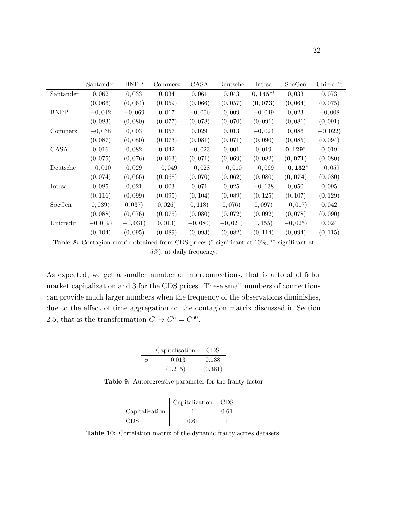|             | Santander | <b>BNPP</b> | Commerz  | CASA      | Deutsche  | Intesa      | SocGen    | Unicredit |
|-------------|-----------|-------------|----------|-----------|-----------|-------------|-----------|-----------|
| Santander   | 0,062     | 0,033       | 0,034    | 0,061     | 0,043     | $0, 145***$ | 0,033     | 0.073     |
|             | (0,066)   | (0,064)     | (0, 059) | (0,066)   | (0, 057)  | (0,073)     | (0,064)   | (0,075)   |
| <b>BNPP</b> | $-0,042$  | $-0,069$    | 0,017    | $-0.006$  | 0,009     | $-0,049$    | 0,023     | $-0.008$  |
|             | (0,083)   | (0,080)     | (0,077)  | (0,078)   | (0,070)   | (0,091)     | (0, 081)  | (0, 091)  |
| Commerz     | $-0,038$  | 0,003       | 0.057    | 0,029     | 0,013     | $-0,024$    | 0,086     | $-0,022)$ |
|             | (0,087)   | (0,080)     | (0,073)  | (0,081)   | (0,071)   | (0,090)     | (0,085)   | (0, 094)  |
| CASA        | 0,016     | 0,082       | 0,042    | $-0,023$  | 0,001     | 0,019       | $0,129*$  | 0,019     |
|             | (0,075)   | (0,076)     | (0,063)  | (0,071)   | (0,069)   | (0,082)     | (0,071)   | (0,080)   |
| Deutsche    | $-0,010$  | 0,029       | $-0,049$ | $-0.028$  | $-0,010$  | $-0,069$    | $-0,132*$ | $-0,059$  |
|             | (0,074)   | (0,066)     | (0,068)  | (0,070)   | (0,062)   | (0,080)     | (0,074)   | (0,080)   |
| Intesa      | 0.085     | 0,021       | 0,003    | 0,071     | 0,025     | $-0.138$    | 0,050     | 0,095     |
|             | (0, 116)  | (0,099)     | (0,095)  | (0, 104)  | (0,089)   | (0, 125)    | (0, 107)  | (0, 129)  |
| SocGen      | (0, 039)  | 0,037)      | 0,026)   | 0, 118)   | 0,076)    | (0, 097)    | $-0,017$  | 0,042     |
|             | (0,088)   | (0,076)     | (0,075)  | (0,080)   | (0,072)   | (0,092)     | (0,078)   | (0,090)   |
| Unicredit   | $-0,019$  | $-0,031)$   | (0, 013) | $-0,080)$ | $-0,021)$ | 0, 155)     | $-0,025$  | 0,024     |
|             | (0, 104)  | (0.095)     | (0,089)  | (0.093)   | (0.082)   | (0, 114)    | (0.094)   | (0, 115)  |

Table 8: Contagion matrix obtained from CDS prices (\* significant at 10%, \*\* significant at 5%), at daily frequency.

As expected, we get a smaller number of interconnections, that is a total of 5 for market capitalization and 3 for the CDS prices. These small numbers of connections can provide much larger numbers when the frequency of the observations diminishes, due to the effect of time aggregation on the contagion matrix discussed in Section 2.5, that is the transformation  $C \to C^h = C^{60}$ .

|        | Capitalisation | <b>CDS</b> |
|--------|----------------|------------|
| $\phi$ | $-0.013$       | 0.138      |
|        | (0.215)        | (0.381)    |

Table 9: Autoregressive parameter for the frailty factor

|                | Capitalization | CDS  |
|----------------|----------------|------|
| Capitalization |                | 0.61 |
| CDS            | 0.61           |      |

Table 10: Correlation matrix of the dynamic frailty across datasets.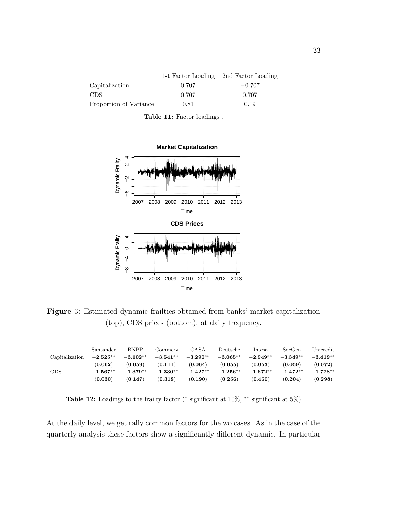|                        |       | 1st Factor Loading 2nd Factor Loading |
|------------------------|-------|---------------------------------------|
| Capitalization         | 0.707 | $-0.707$                              |
| CDS.                   | 0.707 | 0.707                                 |
| Proportion of Variance | 0.81  | 0.19                                  |

Table 11: Factor loadings .



Figure 3: Estimated dynamic frailties obtained from banks' market capitalization (top), CDS prices (bottom), at daily frequency.

|                | Santander           | <b>BNPP</b> | Commerz             | CASA       | Deutsche    | Intesa     | SocGen     | Unicredit  |
|----------------|---------------------|-------------|---------------------|------------|-------------|------------|------------|------------|
| Capitalization | $-2.525^{\ast\ast}$ | $-3.102**$  | $-3.541^{\ast\ast}$ | $-3.290**$ | $-3.065**$  | $-2.949**$ | $-3.349**$ | $-3.419**$ |
|                | (0.062)             | (0.059)     | (0.111)             | (0.064)    | (0.055)     | (0.053)    | (0.059)    | (0.072)    |
| CDS            | $-1.567**$          | $-1.379**$  | $-1.330^{**}$       | $-1.427**$ | $-1.256***$ | $-1.672**$ | $-1.472**$ | $-1.728**$ |
|                | (0.030)             | (0.147)     | (0.318)             | (0.190)    | (0.256)     | (0.450)    | (0.204)    | (0.298)    |

Table 12: Loadings to the frailty factor ( $*$  significant at 10%,  $**$  significant at 5%)

At the daily level, we get rally common factors for the wo cases. As in the case of the quarterly analysis these factors show a significantly different dynamic. In particular